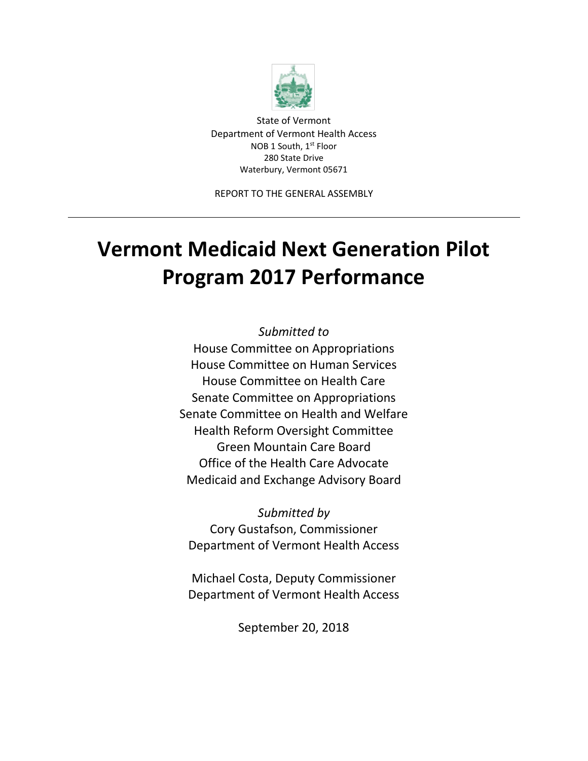

State of Vermont Department of Vermont Health Access NOB 1 South, 1<sup>st</sup> Floor 280 State Drive Waterbury, Vermont 05671

REPORT TO THE GENERAL ASSEMBLY

# **Vermont Medicaid Next Generation Pilot Program 2017 Performance**

*Submitted to*  House Committee on Appropriations House Committee on Human Services House Committee on Health Care Senate Committee on Appropriations Senate Committee on Health and Welfare Health Reform Oversight Committee Green Mountain Care Board Office of the Health Care Advocate Medicaid and Exchange Advisory Board

*Submitted by*  Cory Gustafson, Commissioner Department of Vermont Health Access

Michael Costa, Deputy Commissioner Department of Vermont Health Access

September 20, 2018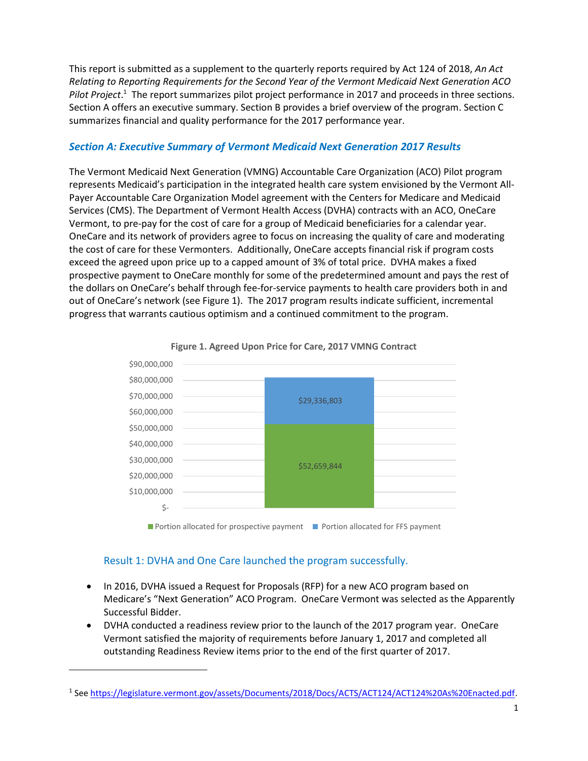This report is submitted as a supplement to the quarterly reports required by Act 124 of 2018, *An Act Relating to Reporting Requirements for the Second Year of the Vermont Medicaid Next Generation ACO*  Pilot Project.<sup>1</sup> The report summarizes pilot project performance in 2017 and proceeds in three sections. Section A offers an executive summary. Section B provides a brief overview of the program. Section C summarizes financial and quality performance for the 2017 performance year.

#### *Section A: Executive Summary of Vermont Medicaid Next Generation 2017 Results*

The Vermont Medicaid Next Generation (VMNG) Accountable Care Organization (ACO) Pilot program represents Medicaid's participation in the integrated health care system envisioned by the Vermont All-Payer Accountable Care Organization Model agreement with the Centers for Medicare and Medicaid Services (CMS). The Department of Vermont Health Access (DVHA) contracts with an ACO, OneCare Vermont, to pre-pay for the cost of care for a group of Medicaid beneficiaries for a calendar year. OneCare and its network of providers agree to focus on increasing the quality of care and moderating the cost of care for these Vermonters. Additionally, OneCare accepts financial risk if program costs exceed the agreed upon price up to a capped amount of 3% of total price. DVHA makes a fixed prospective payment to OneCare monthly for some of the predetermined amount and pays the rest of the dollars on OneCare's behalf through fee-for-service payments to health care providers both in and out of OneCare's network (see Figure 1). The 2017 program results indicate sufficient, incremental progress that warrants cautious optimism and a continued commitment to the program.





#### Result 1: DVHA and One Care launched the program successfully.

l

- In 2016, DVHA issued a Request for Proposals (RFP) for a new ACO program based on Medicare's "Next Generation" ACO Program. OneCare Vermont was selected as the Apparently Successful Bidder.
- DVHA conducted a readiness review prior to the launch of the 2017 program year. OneCare Vermont satisfied the majority of requirements before January 1, 2017 and completed all outstanding Readiness Review items prior to the end of the first quarter of 2017.

<sup>&</sup>lt;sup>1</sup> See [https://legislature.vermont.gov/assets/Documents/2018/Docs/ACTS/ACT124/ACT124%20As%20Enacted.pdf.](https://legislature.vermont.gov/assets/Documents/2018/Docs/ACTS/ACT124/ACT124%20As%20Enacted.pdf)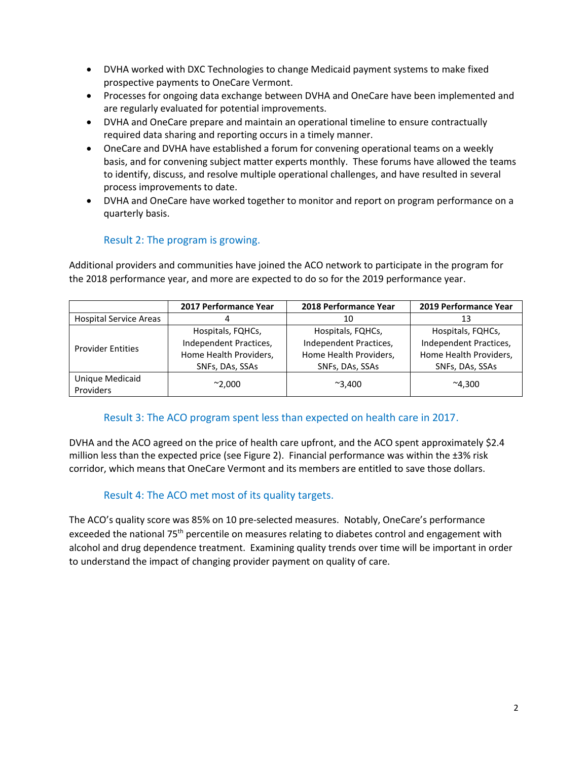- DVHA worked with DXC Technologies to change Medicaid payment systems to make fixed prospective payments to OneCare Vermont.
- Processes for ongoing data exchange between DVHA and OneCare have been implemented and are regularly evaluated for potential improvements.
- DVHA and OneCare prepare and maintain an operational timeline to ensure contractually required data sharing and reporting occurs in a timely manner.
- OneCare and DVHA have established a forum for convening operational teams on a weekly basis, and for convening subject matter experts monthly. These forums have allowed the teams to identify, discuss, and resolve multiple operational challenges, and have resulted in several process improvements to date.
- DVHA and OneCare have worked together to monitor and report on program performance on a quarterly basis.

# Result 2: The program is growing.

Additional providers and communities have joined the ACO network to participate in the program for the 2018 performance year, and more are expected to do so for the 2019 performance year.

|                               | 2017 Performance Year  | 2018 Performance Year  | 2019 Performance Year  |  |  |
|-------------------------------|------------------------|------------------------|------------------------|--|--|
| <b>Hospital Service Areas</b> |                        | 10                     | 13                     |  |  |
| <b>Provider Entities</b>      | Hospitals, FQHCs,      | Hospitals, FQHCs,      | Hospitals, FQHCs,      |  |  |
|                               | Independent Practices, | Independent Practices, | Independent Practices, |  |  |
|                               | Home Health Providers, | Home Health Providers, | Home Health Providers, |  |  |
|                               | SNFs, DAs, SSAs        | SNFs, DAs, SSAs        | SNFs, DAs, SSAs        |  |  |
| Unique Medicaid               |                        |                        | $^{\sim}4.300$         |  |  |
| Providers                     | $^{\sim}2,000$         | $^{\sim}3.400$         |                        |  |  |

# Result 3: The ACO program spent less than expected on health care in 2017.

DVHA and the ACO agreed on the price of health care upfront, and the ACO spent approximately \$2.4 million less than the expected price (see Figure 2). Financial performance was within the  $\pm 3\%$  risk corridor, which means that OneCare Vermont and its members are entitled to save those dollars.

# Result 4: The ACO met most of its quality targets.

The ACO's quality score was 85% on 10 pre-selected measures. Notably, OneCare's performance exceeded the national 75<sup>th</sup> percentile on measures relating to diabetes control and engagement with alcohol and drug dependence treatment. Examining quality trends over time will be important in order to understand the impact of changing provider payment on quality of care.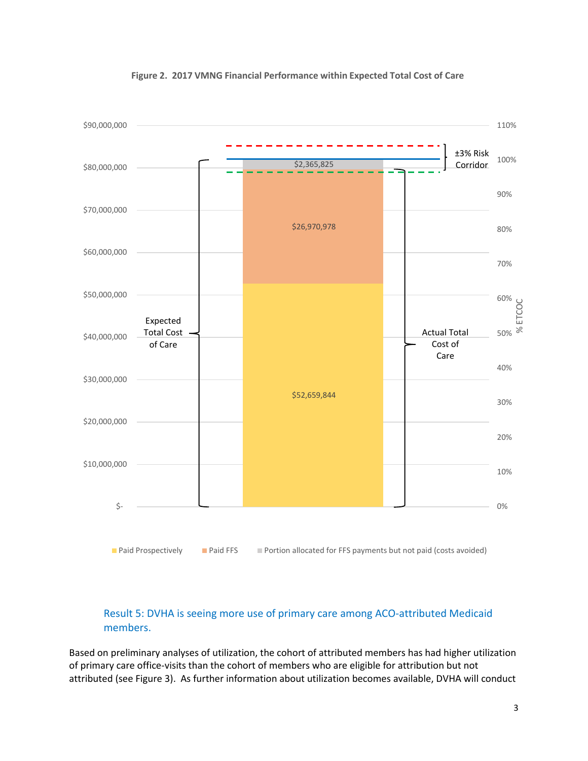

#### **Figure 2. 2017 VMNG Financial Performance within Expected Total Cost of Care**

# Result 5: DVHA is seeing more use of primary care among ACO-attributed Medicaid members.

Based on preliminary analyses of utilization, the cohort of attributed members has had higher utilization of primary care office-visits than the cohort of members who are eligible for attribution but not attributed (see Figure 3). As further information about utilization becomes available, DVHA will conduct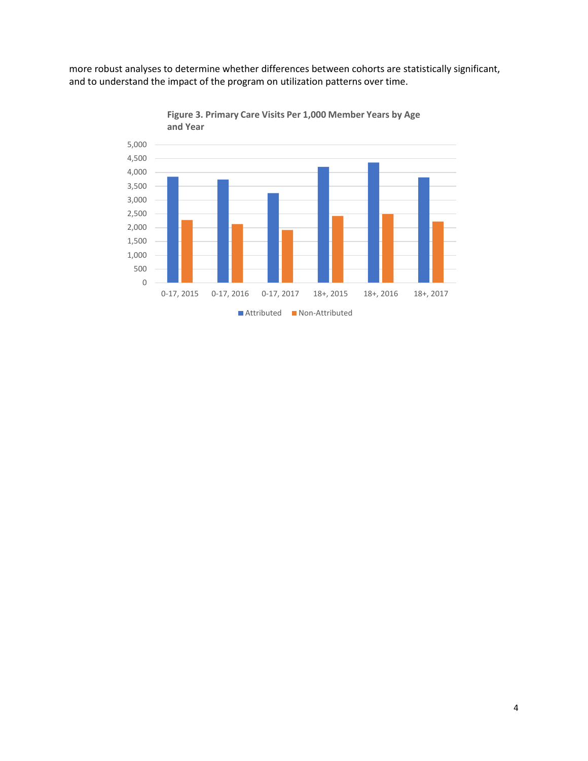more robust analyses to determine whether differences between cohorts are statistically significant, and to understand the impact of the program on utilization patterns over time.



**Figure 3. Primary Care Visits Per 1,000 Member Years by Age**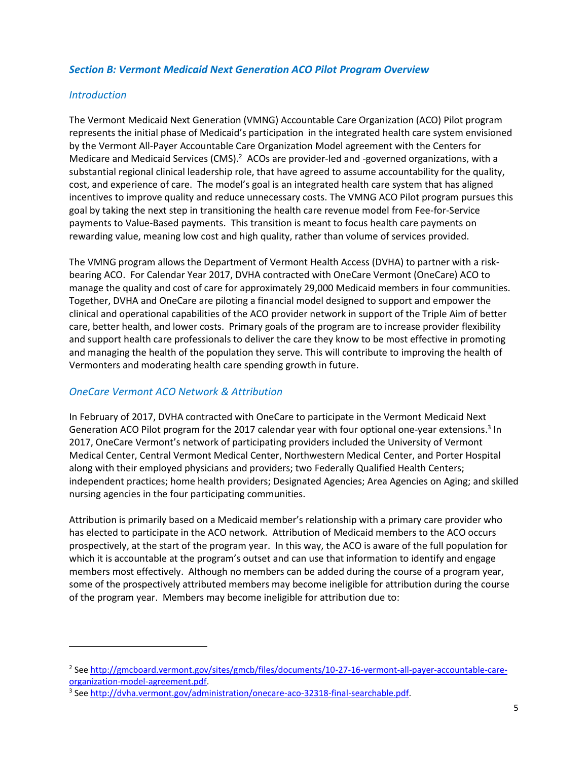#### *Section B: Vermont Medicaid Next Generation ACO Pilot Program Overview*

#### *Introduction*

l

The Vermont Medicaid Next Generation (VMNG) Accountable Care Organization (ACO) Pilot program represents the initial phase of Medicaid's participation in the integrated health care system envisioned by the Vermont All-Payer Accountable Care Organization Model agreement with the Centers for Medicare and Medicaid Services (CMS).<sup>2</sup> ACOs are provider-led and -governed organizations, with a substantial regional clinical leadership role, that have agreed to assume accountability for the quality, cost, and experience of care. The model's goal is an integrated health care system that has aligned incentives to improve quality and reduce unnecessary costs. The VMNG ACO Pilot program pursues this goal by taking the next step in transitioning the health care revenue model from Fee-for-Service payments to Value-Based payments. This transition is meant to focus health care payments on rewarding value, meaning low cost and high quality, rather than volume of services provided.

The VMNG program allows the Department of Vermont Health Access (DVHA) to partner with a riskbearing ACO. For Calendar Year 2017, DVHA contracted with OneCare Vermont (OneCare) ACO to manage the quality and cost of care for approximately 29,000 Medicaid members in four communities. Together, DVHA and OneCare are piloting a financial model designed to support and empower the clinical and operational capabilities of the ACO provider network in support of the Triple Aim of better care, better health, and lower costs. Primary goals of the program are to increase provider flexibility and support health care professionals to deliver the care they know to be most effective in promoting and managing the health of the population they serve. This will contribute to improving the health of Vermonters and moderating health care spending growth in future.

### *OneCare Vermont ACO Network & Attribution*

In February of 2017, DVHA contracted with OneCare to participate in the Vermont Medicaid Next Generation ACO Pilot program for the 2017 calendar year with four optional one-year extensions.<sup>3</sup> In 2017, OneCare Vermont's network of participating providers included the University of Vermont Medical Center, Central Vermont Medical Center, Northwestern Medical Center, and Porter Hospital along with their employed physicians and providers; two Federally Qualified Health Centers; independent practices; home health providers; Designated Agencies; Area Agencies on Aging; and skilled nursing agencies in the four participating communities.

Attribution is primarily based on a Medicaid member's relationship with a primary care provider who has elected to participate in the ACO network. Attribution of Medicaid members to the ACO occurs prospectively, at the start of the program year. In this way, the ACO is aware of the full population for which it is accountable at the program's outset and can use that information to identify and engage members most effectively. Although no members can be added during the course of a program year, some of the prospectively attributed members may become ineligible for attribution during the course of the program year. Members may become ineligible for attribution due to:

<sup>&</sup>lt;sup>2</sup> See <u>http://gmcboard.vermont.gov/sites/gmcb/files/documents/10-27-16-vermont-all-payer-accountable-care-</u> [organization-model-agreement.pdf.](http://gmcboard.vermont.gov/sites/gmcb/files/documents/10-27-16-vermont-all-payer-accountable-care-organization-model-agreement.pdf)

<sup>&</sup>lt;sup>3</sup> See [http://dvha.vermont.gov/administration/onecare-aco-32318-final-searchable.pdf.](http://dvha.vermont.gov/administration/onecare-aco-32318-final-searchable.pdf)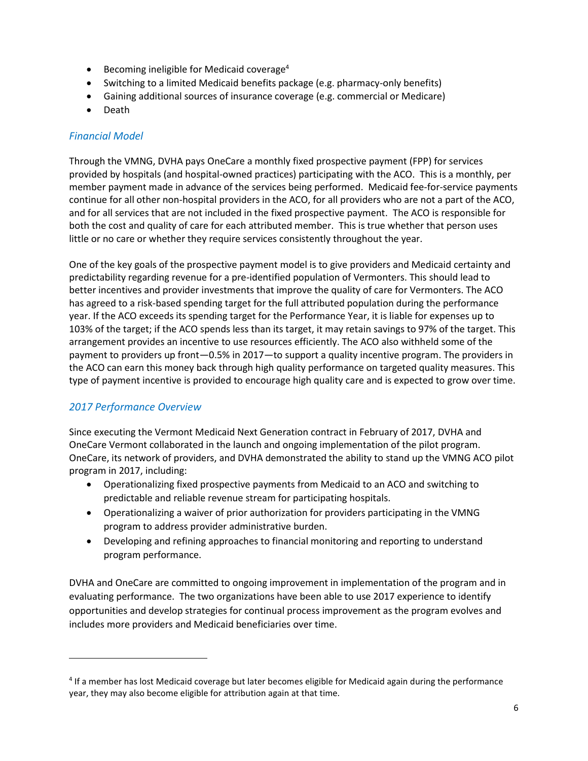- $\bullet$  Becoming ineligible for Medicaid coverage<sup>4</sup>
- Switching to a limited Medicaid benefits package (e.g. pharmacy-only benefits)
- Gaining additional sources of insurance coverage (e.g. commercial or Medicare)
- Death

# *Financial Model*

Through the VMNG, DVHA pays OneCare a monthly fixed prospective payment (FPP) for services provided by hospitals (and hospital-owned practices) participating with the ACO. This is a monthly, per member payment made in advance of the services being performed. Medicaid fee-for-service payments continue for all other non-hospital providers in the ACO, for all providers who are not a part of the ACO, and for all services that are not included in the fixed prospective payment. The ACO is responsible for both the cost and quality of care for each attributed member. This is true whether that person uses little or no care or whether they require services consistently throughout the year.

One of the key goals of the prospective payment model is to give providers and Medicaid certainty and predictability regarding revenue for a pre-identified population of Vermonters. This should lead to better incentives and provider investments that improve the quality of care for Vermonters. The ACO has agreed to a risk-based spending target for the full attributed population during the performance year. If the ACO exceeds its spending target for the Performance Year, it is liable for expenses up to 103% of the target; if the ACO spends less than its target, it may retain savings to 97% of the target. This arrangement provides an incentive to use resources efficiently. The ACO also withheld some of the payment to providers up front—0.5% in 2017—to support a quality incentive program. The providers in the ACO can earn this money back through high quality performance on targeted quality measures. This type of payment incentive is provided to encourage high quality care and is expected to grow over time.

# *2017 Performance Overview*

l

Since executing the Vermont Medicaid Next Generation contract in February of 2017, DVHA and OneCare Vermont collaborated in the launch and ongoing implementation of the pilot program. OneCare, its network of providers, and DVHA demonstrated the ability to stand up the VMNG ACO pilot program in 2017, including:

- Operationalizing fixed prospective payments from Medicaid to an ACO and switching to predictable and reliable revenue stream for participating hospitals.
- Operationalizing a waiver of prior authorization for providers participating in the VMNG program to address provider administrative burden.
- Developing and refining approaches to financial monitoring and reporting to understand program performance.

DVHA and OneCare are committed to ongoing improvement in implementation of the program and in evaluating performance. The two organizations have been able to use 2017 experience to identify opportunities and develop strategies for continual process improvement as the program evolves and includes more providers and Medicaid beneficiaries over time.

<sup>&</sup>lt;sup>4</sup> If a member has lost Medicaid coverage but later becomes eligible for Medicaid again during the performance year, they may also become eligible for attribution again at that time.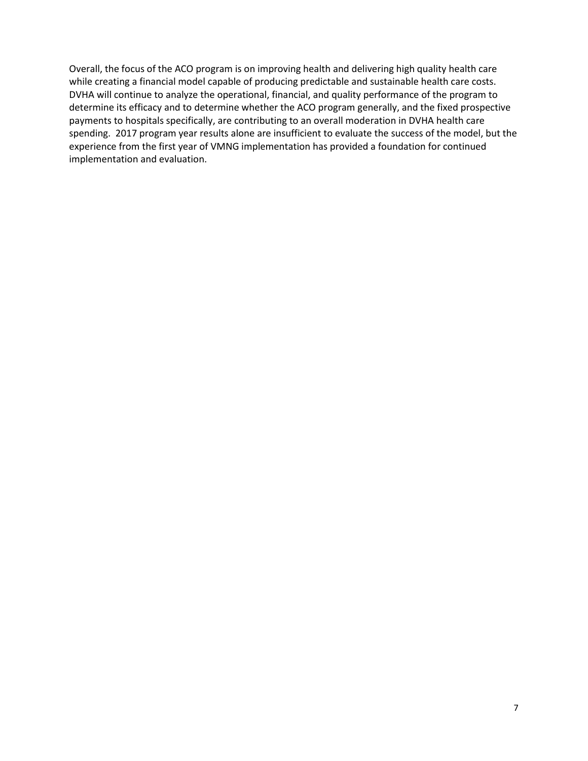Overall, the focus of the ACO program is on improving health and delivering high quality health care while creating a financial model capable of producing predictable and sustainable health care costs. DVHA will continue to analyze the operational, financial, and quality performance of the program to determine its efficacy and to determine whether the ACO program generally, and the fixed prospective payments to hospitals specifically, are contributing to an overall moderation in DVHA health care spending. 2017 program year results alone are insufficient to evaluate the success of the model, but the experience from the first year of VMNG implementation has provided a foundation for continued implementation and evaluation.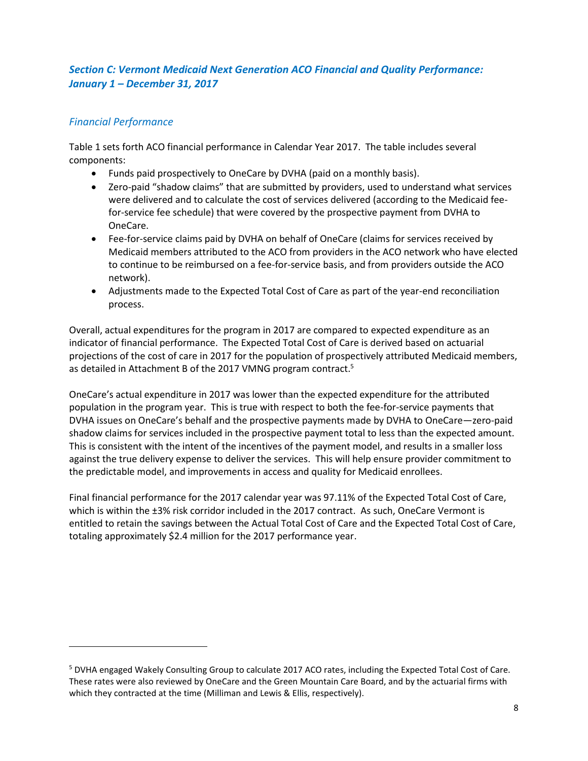# *Section C: Vermont Medicaid Next Generation ACO Financial and Quality Performance: January 1 – December 31, 2017*

# *Financial Performance*

l

Table 1 sets forth ACO financial performance in Calendar Year 2017. The table includes several components:

- Funds paid prospectively to OneCare by DVHA (paid on a monthly basis).
- Zero-paid "shadow claims" that are submitted by providers, used to understand what services were delivered and to calculate the cost of services delivered (according to the Medicaid feefor-service fee schedule) that were covered by the prospective payment from DVHA to OneCare.
- Fee-for-service claims paid by DVHA on behalf of OneCare (claims for services received by Medicaid members attributed to the ACO from providers in the ACO network who have elected to continue to be reimbursed on a fee-for-service basis, and from providers outside the ACO network).
- Adjustments made to the Expected Total Cost of Care as part of the year-end reconciliation process.

Overall, actual expenditures for the program in 2017 are compared to expected expenditure as an indicator of financial performance. The Expected Total Cost of Care is derived based on actuarial projections of the cost of care in 2017 for the population of prospectively attributed Medicaid members, as detailed in Attachment B of the 2017 VMNG program contract.<sup>5</sup>

OneCare's actual expenditure in 2017 was lower than the expected expenditure for the attributed population in the program year. This is true with respect to both the fee-for-service payments that DVHA issues on OneCare's behalf and the prospective payments made by DVHA to OneCare—zero-paid shadow claims for services included in the prospective payment total to less than the expected amount. This is consistent with the intent of the incentives of the payment model, and results in a smaller loss against the true delivery expense to deliver the services. This will help ensure provider commitment to the predictable model, and improvements in access and quality for Medicaid enrollees.

Final financial performance for the 2017 calendar year was 97.11% of the Expected Total Cost of Care, which is within the  $\pm 3\%$  risk corridor included in the 2017 contract. As such, OneCare Vermont is entitled to retain the savings between the Actual Total Cost of Care and the Expected Total Cost of Care, totaling approximately \$2.4 million for the 2017 performance year.

<sup>5</sup> DVHA engaged Wakely Consulting Group to calculate 2017 ACO rates, including the Expected Total Cost of Care. These rates were also reviewed by OneCare and the Green Mountain Care Board, and by the actuarial firms with which they contracted at the time (Milliman and Lewis & Ellis, respectively).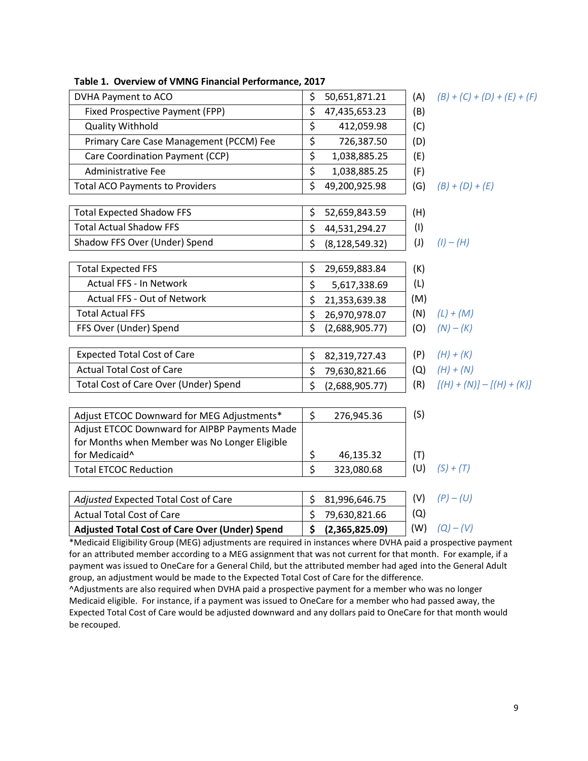| DVHA Payment to ACO                                                                                            | \$                      | 50,651,871.21    | (A) | $(B) + (C) + (D) + (E) + (F)$ |
|----------------------------------------------------------------------------------------------------------------|-------------------------|------------------|-----|-------------------------------|
| Fixed Prospective Payment (FPP)                                                                                | \$                      | 47,435,653.23    | (B) |                               |
| <b>Quality Withhold</b>                                                                                        | \$                      | 412,059.98       | (C) |                               |
| Primary Care Case Management (PCCM) Fee                                                                        | $\overline{\xi}$        | 726,387.50       | (D) |                               |
| Care Coordination Payment (CCP)                                                                                | \$                      | 1,038,885.25     | (E) |                               |
| <b>Administrative Fee</b>                                                                                      | \$                      | 1,038,885.25     | (F) |                               |
| <b>Total ACO Payments to Providers</b>                                                                         | \$                      | 49,200,925.98    | (G) | $(B) + (D) + (E)$             |
| <b>Total Expected Shadow FFS</b>                                                                               | \$                      | 52,659,843.59    | (H) |                               |
| <b>Total Actual Shadow FFS</b>                                                                                 | \$                      | 44,531,294.27    | (1) |                               |
| Shadow FFS Over (Under) Spend                                                                                  | \$                      | (8, 128, 549.32) | (1) | $(l) - (H)$                   |
| <b>Total Expected FFS</b>                                                                                      | \$                      | 29,659,883.84    | (K) |                               |
| <b>Actual FFS - In Network</b>                                                                                 | \$                      | 5,617,338.69     | (L) |                               |
| Actual FFS - Out of Network                                                                                    | \$                      | 21,353,639.38    | (M) |                               |
| <b>Total Actual FFS</b>                                                                                        | \$                      | 26,970,978.07    | (N) | $(L) + (M)$                   |
| FFS Over (Under) Spend                                                                                         | $\overline{\mathsf{S}}$ | (2,688,905.77)   | (O) | $(N) - (K)$                   |
| <b>Expected Total Cost of Care</b>                                                                             | \$                      | 82,319,727.43    | (P) | $(H) + (K)$                   |
| <b>Actual Total Cost of Care</b>                                                                               | \$                      | 79,630,821.66    | (Q) | $(H) + (N)$                   |
| Total Cost of Care Over (Under) Spend                                                                          | \$                      | (2,688,905.77)   | (R) | $[(H) + (N)] - [(H) + (K)]$   |
| Adjust ETCOC Downward for MEG Adjustments*                                                                     | \$                      | 276,945.36       | (S) |                               |
| Adjust ETCOC Downward for AIPBP Payments Made                                                                  |                         |                  |     |                               |
| for Months when Member was No Longer Eligible                                                                  |                         |                  |     |                               |
| for Medicaid <sup>^</sup>                                                                                      | \$                      | 46,135.32        | (T) |                               |
| <b>Total ETCOC Reduction</b>                                                                                   | Ś                       | 323,080.68       | (U) | $(S) + (T)$                   |
| Adjusted Expected Total Cost of Care                                                                           | \$                      | 81,996,646.75    | (V) | $(P) - (U)$                   |
| <b>Actual Total Cost of Care</b>                                                                               | \$                      | 79,630,821.66    | (Q) |                               |
| <b>Adjusted Total Cost of Care Over (Under) Spend</b>                                                          | \$                      | (2,365,825.09)   | (W) | $(Q) - (V)$                   |
| *Medicaid Fligibility Croup (MEC) odjustments are required in instances whore DVUA poid a prespective powerent |                         |                  |     |                               |

**Table 1. Overview of VMNG Financial Performance, 2017**

\*Medicaid Eligibility Group (MEG) adjustments are required in instances where DVHA paid a prospective payment for an attributed member according to a MEG assignment that was not current for that month. For example, if a payment was issued to OneCare for a General Child, but the attributed member had aged into the General Adult group, an adjustment would be made to the Expected Total Cost of Care for the difference.

^Adjustments are also required when DVHA paid a prospective payment for a member who was no longer Medicaid eligible. For instance, if a payment was issued to OneCare for a member who had passed away, the Expected Total Cost of Care would be adjusted downward and any dollars paid to OneCare for that month would be recouped.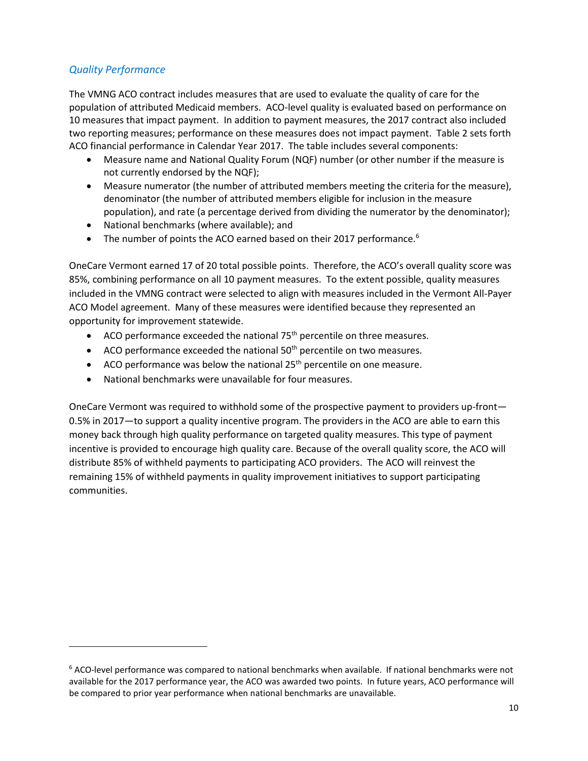# *Quality Performance*

l

The VMNG ACO contract includes measures that are used to evaluate the quality of care for the population of attributed Medicaid members. ACO-level quality is evaluated based on performance on 10 measures that impact payment. In addition to payment measures, the 2017 contract also included two reporting measures; performance on these measures does not impact payment. Table 2 sets forth ACO financial performance in Calendar Year 2017. The table includes several components:

- Measure name and National Quality Forum (NQF) number (or other number if the measure is not currently endorsed by the NQF);
- Measure numerator (the number of attributed members meeting the criteria for the measure), denominator (the number of attributed members eligible for inclusion in the measure population), and rate (a percentage derived from dividing the numerator by the denominator);
- National benchmarks (where available); and
- The number of points the ACO earned based on their 2017 performance.<sup>6</sup>

OneCare Vermont earned 17 of 20 total possible points. Therefore, the ACO's overall quality score was 85%, combining performance on all 10 payment measures. To the extent possible, quality measures included in the VMNG contract were selected to align with measures included in the Vermont All-Payer ACO Model agreement. Many of these measures were identified because they represented an opportunity for improvement statewide.

- ACO performance exceeded the national  $75<sup>th</sup>$  percentile on three measures.
- ACO performance exceeded the national  $50<sup>th</sup>$  percentile on two measures.
- ACO performance was below the national  $25<sup>th</sup>$  percentile on one measure.
- National benchmarks were unavailable for four measures.

OneCare Vermont was required to withhold some of the prospective payment to providers up-front— 0.5% in 2017—to support a quality incentive program. The providers in the ACO are able to earn this money back through high quality performance on targeted quality measures. This type of payment incentive is provided to encourage high quality care. Because of the overall quality score, the ACO will distribute 85% of withheld payments to participating ACO providers. The ACO will reinvest the remaining 15% of withheld payments in quality improvement initiatives to support participating communities.

<sup>6</sup> ACO-level performance was compared to national benchmarks when available. If national benchmarks were not available for the 2017 performance year, the ACO was awarded two points. In future years, ACO performance will be compared to prior year performance when national benchmarks are unavailable.